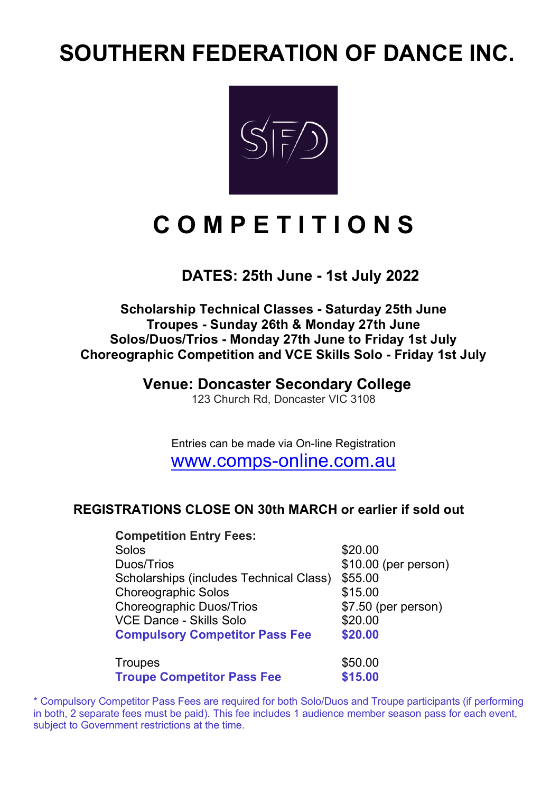# **SOUTHERN FEDERATION OF DANCE INC.**



# **C O M P E T I T I O N S**

### **DATES: 25th June - 1st July 2022**

### **Scholarship Technical Classes - Saturday 25th June Troupes - Sunday 26th & Monday 27th June Solos/Duos/Trios - Monday 27th June to Friday 1st July Choreographic Competition and VCE Skills Solo - Friday 1st July**

### **Venue: Doncaster Secondary College**

123 Church Rd, Doncaster VIC 3108

Entries can be made via On-line Registration www.comps-online.com.au

### **REGISTRATIONS CLOSE ON 30th MARCH or earlier if sold out**

| <b>Competition Entry Fees:</b>          |                      |
|-----------------------------------------|----------------------|
| Solos                                   | \$20.00              |
| Duos/Trios                              | \$10.00 (per person) |
| Scholarships (includes Technical Class) | \$55.00              |
| <b>Choreographic Solos</b>              | \$15.00              |
| <b>Choreographic Duos/Trios</b>         | \$7.50 (per person)  |
| <b>VCE Dance - Skills Solo</b>          | \$20.00              |
| <b>Compulsory Competitor Pass Fee</b>   | \$20.00              |
| <b>Troupes</b>                          | \$50.00              |
| <b>Troupe Competitor Pass Fee</b>       | \$15.00              |

\* Compulsory Competitor Pass Fees are required for both Solo/Duos and Troupe participants (if performing in both, 2 separate fees must be paid). This fee includes 1 audience member season pass for each event, subject to Government restrictions at the time.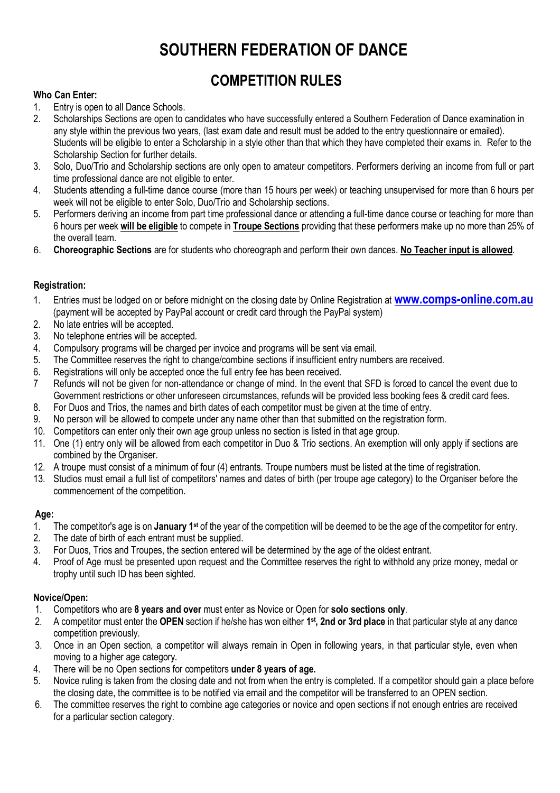## **SOUTHERN FEDERATION OF DANCE**

## **COMPETITION RULES**

### **Who Can Enter:**

- 1. Entry is open to all Dance Schools.
- 2. Scholarships Sections are open to candidates who have successfully entered a Southern Federation of Dance examination in any style within the previous two years, (last exam date and result must be added to the entry questionnaire or emailed). Students will be eligible to enter a Scholarship in a style other than that which they have completed their exams in. Refer to the Scholarship Section for further details.
- 3. Solo, Duo/Trio and Scholarship sections are only open to amateur competitors. Performers deriving an income from full or part time professional dance are not eligible to enter.
- 4. Students attending a full-time dance course (more than 15 hours per week) or teaching unsupervised for more than 6 hours per week will not be eligible to enter Solo, Duo/Trio and Scholarship sections.
- 5. Performers deriving an income from part time professional dance or attending a full-time dance course or teaching for more than 6 hours per week **will be eligible** to compete in **Troupe Sections** providing that these performers make up no more than 25% of the overall team.
- 6. **Choreographic Sections** are for students who choreograph and perform their own dances. **No Teacher input is allowed**.

### **Registration:**

- 1. Entries must be lodged on or before midnight on the closing date by Online Registration at **www.comps-online.com.au** (payment will be accepted by PayPal account or credit card through the PayPal system)
- 2. No late entries will be accepted.
- 3. No telephone entries will be accepted.
- 4. Compulsory programs will be charged per invoice and programs will be sent via email.
- 5. The Committee reserves the right to change/combine sections if insufficient entry numbers are received.
- 6. Registrations will only be accepted once the full entry fee has been received.
- 7 Refunds will not be given for non-attendance or change of mind. In the event that SFD is forced to cancel the event due to Government restrictions or other unforeseen circumstances, refunds will be provided less booking fees & credit card fees.
- 8. For Duos and Trios, the names and birth dates of each competitor must be given at the time of entry.
- 9. No person will be allowed to compete under any name other than that submitted on the registration form.
- 10. Competitors can enter only their own age group unless no section is listed in that age group.
- 11. One (1) entry only will be allowed from each competitor in Duo & Trio sections. An exemption will only apply if sections are combined by the Organiser.
- 12. A troupe must consist of a minimum of four (4) entrants. Troupe numbers must be listed at the time of registration.
- 13. Studios must email a full list of competitors' names and dates of birth (per troupe age category) to the Organiser before the commencement of the competition.

### **Age:**

- 1. The competitor's age is on **January 1st** of the year of the competition will be deemed to be the age of the competitor for entry.
- 2. The date of birth of each entrant must be supplied.
- 3. For Duos, Trios and Troupes, the section entered will be determined by the age of the oldest entrant.
- 4. Proof of Age must be presented upon request and the Committee reserves the right to withhold any prize money, medal or trophy until such ID has been sighted.

### **Novice/Open:**

- 1. Competitors who are **8 years and over** must enter as Novice or Open for **solo sections only**.
- 2. A competitor must enter the **OPEN** section if he/she has won either **1st, 2nd or 3rd place** in that particular style at any dance competition previously.
- 3. Once in an Open section, a competitor will always remain in Open in following years, in that particular style, even when moving to a higher age category.
- 4. There will be no Open sections for competitors **under 8 years of age.**
- 5. Novice ruling is taken from the closing date and not from when the entry is completed. If a competitor should gain a place before the closing date, the committee is to be notified via email and the competitor will be transferred to an OPEN section.
- 6. The committee reserves the right to combine age categories or novice and open sections if not enough entries are received for a particular section category.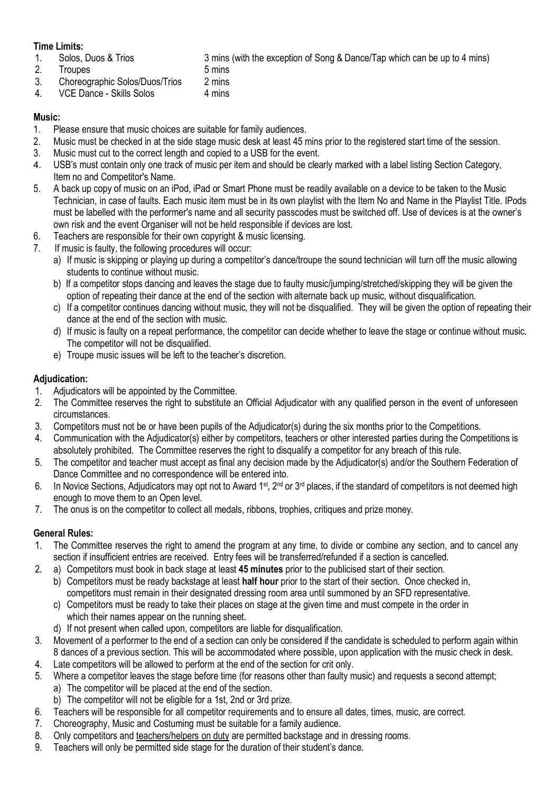### **Time Limits:**

- 1. Solos, Duos & Trios 3 mins (with the exception of Song & Dance/Tap which can be up to 4 mins)
- 2. Troupes 5 mins
- 3. Choreographic Solos/Duos/Trios 2 mins
- 4. VCE Dance Skills Solos 4 mins

### **Music:**

- 1. Please ensure that music choices are suitable for family audiences.
- 2. Music must be checked in at the side stage music desk at least 45 mins prior to the registered start time of the session.
- 3. Music must cut to the correct length and copied to a USB for the event.
- 4. USB's must contain only one track of music per item and should be clearly marked with a label listing Section Category, Item no and Competitor's Name.
- 5. A back up copy of music on an iPod, iPad or Smart Phone must be readily available on a device to be taken to the Music Technician, in case of faults. Each music item must be in its own playlist with the Item No and Name in the Playlist Title. IPods must be labelled with the performer's name and all security passcodes must be switched off. Use of devices is at the owner's own risk and the event Organiser will not be held responsible if devices are lost.
- 6. Teachers are responsible for their own copyright & music licensing.
- 7. If music is faulty, the following procedures will occur:
	- a) If music is skipping or playing up during a competitor's dance/troupe the sound technician will turn off the music allowing students to continue without music.
	- b) If a competitor stops dancing and leaves the stage due to faulty music/jumping/stretched/skipping they will be given the option of repeating their dance at the end of the section with alternate back up music, without disqualification.
	- c) If a competitor continues dancing without music, they will not be disqualified. They will be given the option of repeating their dance at the end of the section with music.
	- d) If music is faulty on a repeat performance, the competitor can decide whether to leave the stage or continue without music. The competitor will not be disqualified.
	- e) Troupe music issues will be left to the teacher's discretion.

### **Adjudication:**

- 1. Adjudicators will be appointed by the Committee.
- 2. The Committee reserves the right to substitute an Official Adjudicator with any qualified person in the event of unforeseen circumstances.
- 3. Competitors must not be or have been pupils of the Adjudicator(s) during the six months prior to the Competitions.
- 4. Communication with the Adjudicator(s) either by competitors, teachers or other interested parties during the Competitions is absolutely prohibited. The Committee reserves the right to disqualify a competitor for any breach of this rule.
- 5. The competitor and teacher must accept as final any decision made by the Adjudicator(s) and/or the Southern Federation of Dance Committee and no correspondence will be entered into.
- 6. In Novice Sections, Adjudicators may opt not to Award 1<sup>st</sup>, 2<sup>nd</sup> or 3<sup>rd</sup> places, if the standard of competitors is not deemed high enough to move them to an Open level.
- 7. The onus is on the competitor to collect all medals, ribbons, trophies, critiques and prize money.

### **General Rules:**

- 1. The Committee reserves the right to amend the program at any time, to divide or combine any section, and to cancel any section if insufficient entries are received. Entry fees will be transferred/refunded if a section is cancelled.
- 2. a) Competitors must book in back stage at least **45 minutes** prior to the publicised start of their section.
	- b) Competitors must be ready backstage at least **half hour** prior to the start of their section. Once checked in, competitors must remain in their designated dressing room area until summoned by an SFD representative.
	- c) Competitors must be ready to take their places on stage at the given time and must compete in the order in which their names appear on the running sheet.
	- d) If not present when called upon, competitors are liable for disqualification.
- 3. Movement of a performer to the end of a section can only be considered if the candidate is scheduled to perform again within 8 dances of a previous section. This will be accommodated where possible, upon application with the music check in desk.
- 4. Late competitors will be allowed to perform at the end of the section for crit only.
- 5. Where a competitor leaves the stage before time (for reasons other than faulty music) and requests a second attempt; a) The competitor will be placed at the end of the section.
	- b) The competitor will not be eligible for a 1st, 2nd or 3rd prize.
- 6. Teachers will be responsible for all competitor requirements and to ensure all dates, times, music, are correct.
- 7. Choreography, Music and Costuming must be suitable for a family audience.
- 8. Only competitors and teachers/helpers on duty are permitted backstage and in dressing rooms.
- 9. Teachers will only be permitted side stage for the duration of their student's dance.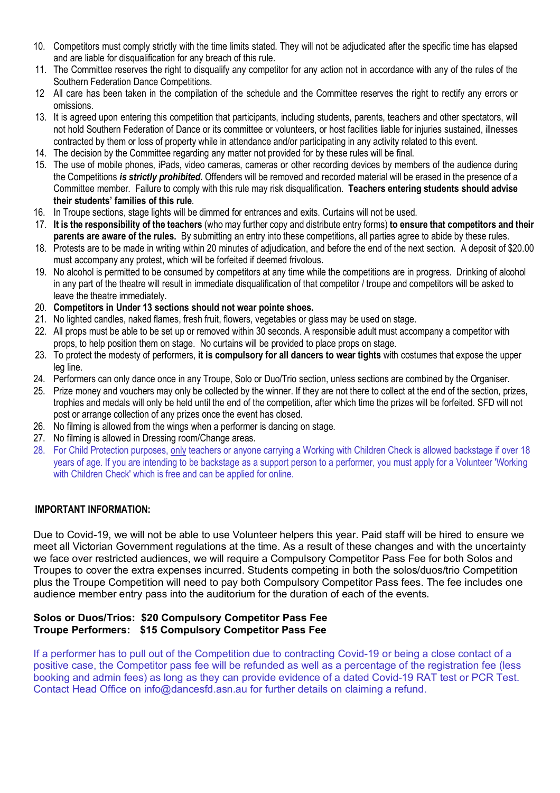- 10. Competitors must comply strictly with the time limits stated. They will not be adjudicated after the specific time has elapsed and are liable for disqualification for any breach of this rule.
- 11. The Committee reserves the right to disqualify any competitor for any action not in accordance with any of the rules of the Southern Federation Dance Competitions.
- 12 All care has been taken in the compilation of the schedule and the Committee reserves the right to rectify any errors or omissions.
- 13. It is agreed upon entering this competition that participants, including students, parents, teachers and other spectators, will not hold Southern Federation of Dance or its committee or volunteers, or host facilities liable for injuries sustained, illnesses contracted by them or loss of property while in attendance and/or participating in any activity related to this event.
- 14. The decision by the Committee regarding any matter not provided for by these rules will be final.
- 15. The use of mobile phones, iPads, video cameras, cameras or other recording devices by members of the audience during the Competitions *is strictly prohibited***.** Offenders will be removed and recorded material will be erased in the presence of a Committee member. Failure to comply with this rule may risk disqualification. **Teachers entering students should advise their students' families of this rule**.
- 16. In Troupe sections, stage lights will be dimmed for entrances and exits. Curtains will not be used.
- 17. **It is the responsibility of the teachers** (who may further copy and distribute entry forms) **to ensure that competitors and their parents are aware of the rules.** By submitting an entry into these competitions, all parties agree to abide by these rules.
- 18. Protests are to be made in writing within 20 minutes of adjudication, and before the end of the next section. A deposit of \$20.00 must accompany any protest, which will be forfeited if deemed frivolous.
- 19. No alcohol is permitted to be consumed by competitors at any time while the competitions are in progress. Drinking of alcohol in any part of the theatre will result in immediate disqualification of that competitor / troupe and competitors will be asked to leave the theatre immediately.
- 20. **Competitors in Under 13 sections should not wear pointe shoes.**
- 21. No lighted candles, naked flames, fresh fruit, flowers, vegetables or glass may be used on stage.
- 22. All props must be able to be set up or removed within 30 seconds. A responsible adult must accompany a competitor with props, to help position them on stage. No curtains will be provided to place props on stage.
- 23. To protect the modesty of performers, **it is compulsory for all dancers to wear tights** with costumes that expose the upper leg line.
- 24. Performers can only dance once in any Troupe, Solo or Duo/Trio section, unless sections are combined by the Organiser.
- 25. Prize money and vouchers may only be collected by the winner. If they are not there to collect at the end of the section, prizes, trophies and medals will only be held until the end of the competition, after which time the prizes will be forfeited. SFD will not post or arrange collection of any prizes once the event has closed.
- 26. No filming is allowed from the wings when a performer is dancing on stage.
- 27. No filming is allowed in Dressing room/Change areas.
- 28. For Child Protection purposes, only teachers or anyone carrying a Working with Children Check is allowed backstage if over 18 years of age. If you are intending to be backstage as a support person to a performer, you must apply for a Volunteer 'Working with Children Check' which is free and can be applied for online.

### **IMPORTANT INFORMATION:**

Due to Covid-19, we will not be able to use Volunteer helpers this year. Paid staff will be hired to ensure we meet all Victorian Government regulations at the time. As a result of these changes and with the uncertainty we face over restricted audiences, we will require a Compulsory Competitor Pass Fee for both Solos and Troupes to cover the extra expenses incurred. Students competing in both the solos/duos/trio Competition plus the Troupe Competition will need to pay both Compulsory Competitor Pass fees. The fee includes one audience member entry pass into the auditorium for the duration of each of the events.

### **Solos or Duos/Trios: \$20 Compulsory Competitor Pass Fee Troupe Performers: \$15 Compulsory Competitor Pass Fee**

If a performer has to pull out of the Competition due to contracting Covid-19 or being a close contact of a positive case, the Competitor pass fee will be refunded as well as a percentage of the registration fee (less booking and admin fees) as long as they can provide evidence of a dated Covid-19 RAT test or PCR Test. Contact Head Office on info@dancesfd.asn.au for further details on claiming a refund.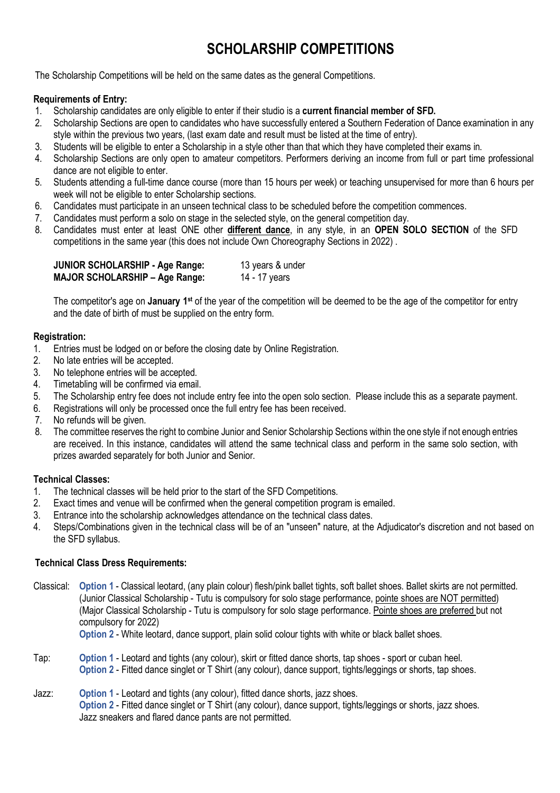## **SCHOLARSHIP COMPETITIONS**

The Scholarship Competitions will be held on the same dates as the general Competitions.

### **Requirements of Entry:**

- 1. Scholarship candidates are only eligible to enter if their studio is a **current financial member of SFD.**
- 2. Scholarship Sections are open to candidates who have successfully entered a Southern Federation of Dance examination in any style within the previous two years, (last exam date and result must be listed at the time of entry).
- 3. Students will be eligible to enter a Scholarship in a style other than that which they have completed their exams in.
- 4. Scholarship Sections are only open to amateur competitors. Performers deriving an income from full or part time professional dance are not eligible to enter.
- 5. Students attending a full-time dance course (more than 15 hours per week) or teaching unsupervised for more than 6 hours per week will not be eligible to enter Scholarship sections.
- 6. Candidates must participate in an unseen technical class to be scheduled before the competition commences.
- 7. Candidates must perform a solo on stage in the selected style, on the general competition day.
- 8. Candidates must enter at least ONE other **different dance**, in any style, in an **OPEN SOLO SECTION** of the SFD competitions in the same year (this does not include Own Choreography Sections in 2022) .

| <b>JUNIOR SCHOLARSHIP - Age Range:</b> | 13 years & under |
|----------------------------------------|------------------|
| <b>MAJOR SCHOLARSHIP - Age Range:</b>  | 14 - 17 years    |

The competitor's age on **January 1st** of the year of the competition will be deemed to be the age of the competitor for entry and the date of birth of must be supplied on the entry form.

### **Registration:**

- 1. Entries must be lodged on or before the closing date by Online Registration.
- 2. No late entries will be accepted.
- 3. No telephone entries will be accepted.
- 4. Timetabling will be confirmed via email.
- 5. The Scholarship entry fee does not include entry fee into the open solo section. Please include this as a separate payment.
- 6. Registrations will only be processed once the full entry fee has been received.
- 7. No refunds will be given.
- 8. The committee reserves the right to combine Junior and Senior Scholarship Sections within the one style if not enough entries are received. In this instance, candidates will attend the same technical class and perform in the same solo section, with prizes awarded separately for both Junior and Senior.

### **Technical Classes:**

- 1. The technical classes will be held prior to the start of the SFD Competitions.
- 2. Exact times and venue will be confirmed when the general competition program is emailed.
- 3. Entrance into the scholarship acknowledges attendance on the technical class dates.
- 4. Steps/Combinations given in the technical class will be of an "unseen" nature, at the Adjudicator's discretion and not based on the SFD syllabus.

### **Technical Class Dress Requirements:**

- Classical: **Option 1** Classical leotard, (any plain colour) flesh/pink ballet tights, soft ballet shoes. Ballet skirts are not permitted. (Junior Classical Scholarship - Tutu is compulsory for solo stage performance, pointe shoes are NOT permitted) (Major Classical Scholarship - Tutu is compulsory for solo stage performance. Pointe shoes are preferred but not compulsory for 2022)
	- **Option 2** White leotard, dance support, plain solid colour tights with white or black ballet shoes.
- Tap: **Option 1** Leotard and tights (any colour), skirt or fitted dance shorts, tap shoes sport or cuban heel. **Option 2** - Fitted dance singlet or T Shirt (any colour), dance support, tights/leggings or shorts, tap shoes.
- Jazz: **Option 1**  Leotard and tights (any colour), fitted dance shorts, jazz shoes. **Option 2** - Fitted dance singlet or T Shirt (any colour), dance support, tights/leggings or shorts, jazz shoes. Jazz sneakers and flared dance pants are not permitted.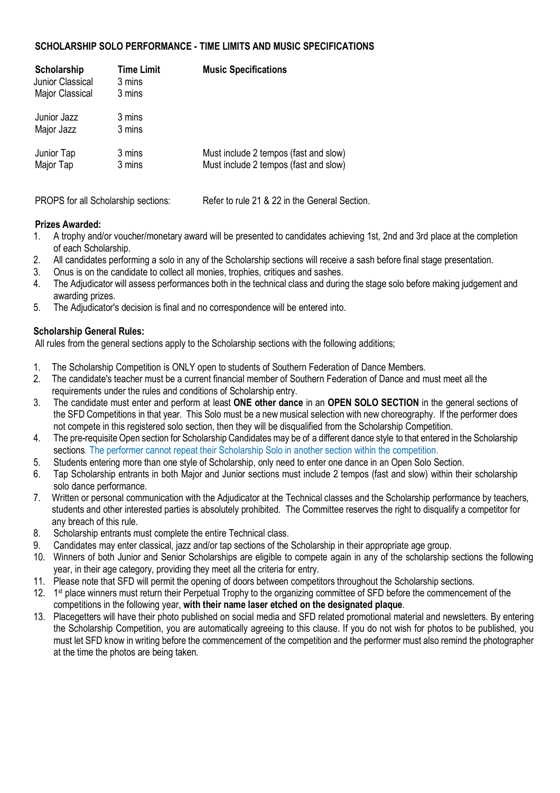### **SCHOLARSHIP SOLO PERFORMANCE - TIME LIMITS AND MUSIC SPECIFICATIONS**

| Scholarship<br>Junior Classical<br><b>Major Classical</b> | <b>Time Limit</b><br>3 mins<br>3 mins | <b>Music Specifications</b>                                                    |
|-----------------------------------------------------------|---------------------------------------|--------------------------------------------------------------------------------|
| Junior Jazz<br>Major Jazz                                 | 3 mins<br>3 mins                      |                                                                                |
| Junior Tap<br>Major Tap                                   | 3 mins<br>3 mins                      | Must include 2 tempos (fast and slow)<br>Must include 2 tempos (fast and slow) |

PROPS for all Scholarship sections: Refer to rule 21 & 22 in the General Section.

### **Prizes Awarded:**

- 1. A trophy and/or voucher/monetary award will be presented to candidates achieving 1st, 2nd and 3rd place at the completion of each Scholarship.
- 2. All candidates performing a solo in any of the Scholarship sections will receive a sash before final stage presentation.
- 3. Onus is on the candidate to collect all monies, trophies, critiques and sashes.
- 4. The Adjudicator will assess performances both in the technical class and during the stage solo before making judgement and awarding prizes.
- 5. The Adjudicator's decision is final and no correspondence will be entered into.

### **Scholarship General Rules:**

All rules from the general sections apply to the Scholarship sections with the following additions;

- 1. The Scholarship Competition is ONLY open to students of Southern Federation of Dance Members.
- 2. The candidate's teacher must be a current financial member of Southern Federation of Dance and must meet all the requirements under the rules and conditions of Scholarship entry.
- 3. The candidate must enter and perform at least **ONE other dance** in an **OPEN SOLO SECTION** in the general sections of the SFD Competitions in that year. This Solo must be a new musical selection with new choreography. If the performer does not compete in this registered solo section, then they will be disqualified from the Scholarship Competition.
- 4. The pre-requisite Open section for Scholarship Candidates may be of a different dance style to that entered in the Scholarship sections. The performer cannot repeat their Scholarship Solo in another section within the competition.
- 5. Students entering more than one style of Scholarship, only need to enter one dance in an Open Solo Section.
- 6. Tap Scholarship entrants in both Major and Junior sections must include 2 tempos (fast and slow) within their scholarship solo dance performance.
- 7. Written or personal communication with the Adjudicator at the Technical classes and the Scholarship performance by teachers, students and other interested parties is absolutely prohibited. The Committee reserves the right to disqualify a competitor for any breach of this rule.
- 8. Scholarship entrants must complete the entire Technical class.
- 9. Candidates may enter classical, jazz and/or tap sections of the Scholarship in their appropriate age group.
- 10. Winners of both Junior and Senior Scholarships are eligible to compete again in any of the scholarship sections the following year, in their age category, providing they meet all the criteria for entry.
- 11. Please note that SFD will permit the opening of doors between competitors throughout the Scholarship sections.
- 12. 1<sup>st</sup> place winners must return their Perpetual Trophy to the organizing committee of SFD before the commencement of the competitions in the following year, **with their name laser etched on the designated plaque**.
- 13. Placegetters will have their photo published on social media and SFD related promotional material and newsletters. By entering the Scholarship Competition, you are automatically agreeing to this clause. If you do not wish for photos to be published, you must let SFD know in writing before the commencement of the competition and the performer must also remind the photographer at the time the photos are being taken.